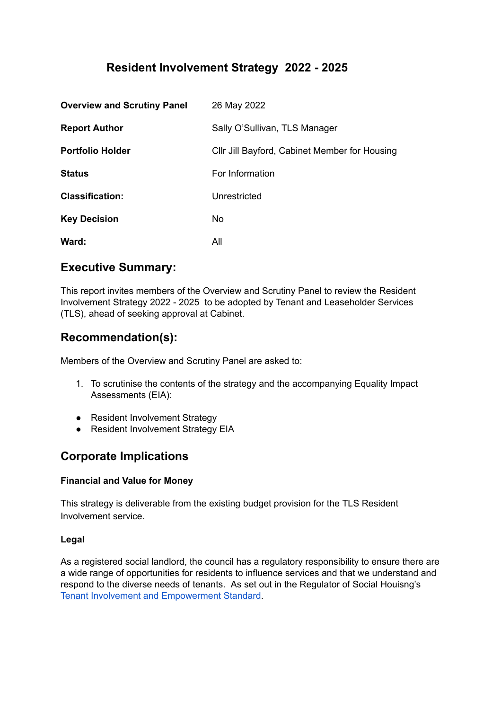# **Resident Involvement Strategy 2022 - 2025**

| <b>Overview and Scrutiny Panel</b> | 26 May 2022                                   |
|------------------------------------|-----------------------------------------------|
| <b>Report Author</b>               | Sally O'Sullivan, TLS Manager                 |
| <b>Portfolio Holder</b>            | CIIr Jill Bayford, Cabinet Member for Housing |
| <b>Status</b>                      | For Information                               |
| <b>Classification:</b>             | Unrestricted                                  |
| <b>Key Decision</b>                | No                                            |
| Ward:                              | All                                           |

## **Executive Summary:**

This report invites members of the Overview and Scrutiny Panel to review the Resident Involvement Strategy 2022 - 2025 to be adopted by Tenant and Leaseholder Services (TLS), ahead of seeking approval at Cabinet.

# **Recommendation(s):**

Members of the Overview and Scrutiny Panel are asked to:

- 1. To scrutinise the contents of the strategy and the accompanying Equality Impact Assessments (EIA):
- Resident Involvement Strategy
- Resident Involvement Strategy EIA

# **Corporate Implications**

## **Financial and Value for Money**

This strategy is deliverable from the existing budget provision for the TLS Resident Involvement service.

## **Legal**

As a registered social landlord, the council has a regulatory responsibility to ensure there are a wide range of opportunities for residents to influence services and that we understand and respond to the diverse needs of tenants. As set out in the Regulator of Social Houisng's Tenant Involvement and [Empowerment](https://assets.publishing.service.gov.uk/government/uploads/system/uploads/attachment_data/file/914637/Tenant_Involvement_and_Empowerment_Standard.pdf) Standard.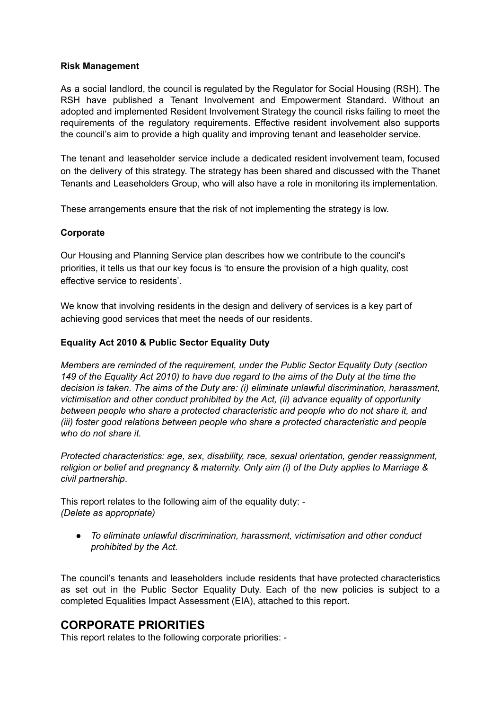### **Risk Management**

As a social landlord, the council is regulated by the Regulator for Social Housing (RSH). The RSH have published a Tenant Involvement and Empowerment Standard. Without an adopted and implemented Resident Involvement Strategy the council risks failing to meet the requirements of the regulatory requirements. Effective resident involvement also supports the council's aim to provide a high quality and improving tenant and leaseholder service.

The tenant and leaseholder service include a dedicated resident involvement team, focused on the delivery of this strategy. The strategy has been shared and discussed with the Thanet Tenants and Leaseholders Group, who will also have a role in monitoring its implementation.

These arrangements ensure that the risk of not implementing the strategy is low.

### **Corporate**

Our Housing and Planning Service plan describes how we contribute to the council's priorities, it tells us that our key focus is 'to ensure the provision of a high quality, cost effective service to residents'.

We know that involving residents in the design and delivery of services is a key part of achieving good services that meet the needs of our residents.

### **Equality Act 2010 & Public Sector Equality Duty**

*Members are reminded of the requirement, under the Public Sector Equality Duty (section* 149 of the Equality Act 2010) to have due regard to the aims of the Duty at the time the *decision is taken. The aims of the Duty are: (i) eliminate unlawful discrimination, harassment, victimisation and other conduct prohibited by the Act, (ii) advance equality of opportunity between people who share a protected characteristic and people who do not share it, and (iii) foster good relations between people who share a protected characteristic and people who do not share it.*

*Protected characteristics: age, sex, disability, race, sexual orientation, gender reassignment, religion or belief and pregnancy & maternity. Only aim (i) of the Duty applies to Marriage & civil partnership*.

This report relates to the following aim of the equality duty: - *(Delete as appropriate)*

*● To eliminate unlawful discrimination, harassment, victimisation and other conduct prohibited by the Act.*

The council's tenants and leaseholders include residents that have protected characteristics as set out in the Public Sector Equality Duty. Each of the new policies is subject to a completed Equalities Impact Assessment (EIA), attached to this report.

## **CORPORATE PRIORITIES**

This report relates to the following corporate priorities: -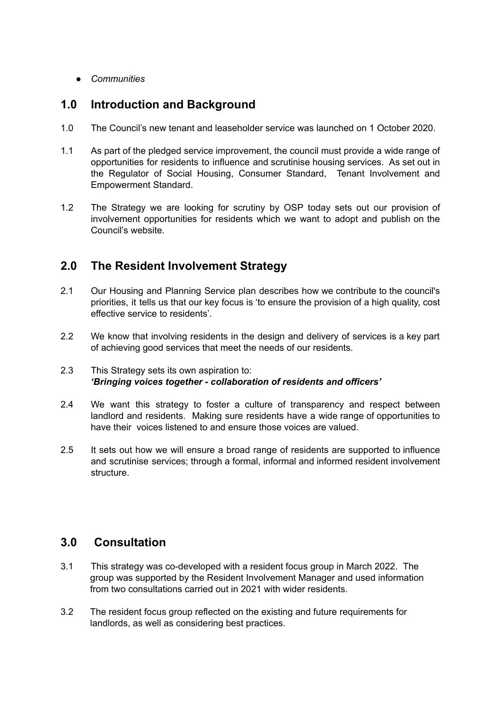*● Communities*

# **1.0 Introduction and Background**

- 1.0 The Council's new tenant and leaseholder service was launched on 1 October 2020.
- 1.1 As part of the pledged service improvement, the council must provide a wide range of opportunities for residents to influence and scrutinise housing services. As set out in the Regulator of Social Housing, Consumer Standard, Tenant Involvement and Empowerment Standard.
- 1.2 The Strategy we are looking for scrutiny by OSP today sets out our provision of involvement opportunities for residents which we want to adopt and publish on the Council's website.

# **2.0 The Resident Involvement Strategy**

- 2.1 Our Housing and Planning Service plan describes how we contribute to the council's priorities, it tells us that our key focus is 'to ensure the provision of a high quality, cost effective service to residents'.
- 2.2 We know that involving residents in the design and delivery of services is a key part of achieving good services that meet the needs of our residents.

## 2.3 This Strategy sets its own aspiration to: *'Bringing voices together - collaboration of residents and officers'*

- 2.4 We want this strategy to foster a culture of transparency and respect between landlord and residents. Making sure residents have a wide range of opportunities to have their voices listened to and ensure those voices are valued.
- 2.5 It sets out how we will ensure a broad range of residents are supported to influence and scrutinise services; through a formal, informal and informed resident involvement structure.

# **3.0 Consultation**

- 3.1 This strategy was co-developed with a resident focus group in March 2022. The group was supported by the Resident Involvement Manager and used information from two consultations carried out in 2021 with wider residents.
- 3.2 The resident focus group reflected on the existing and future requirements for landlords, as well as considering best practices.